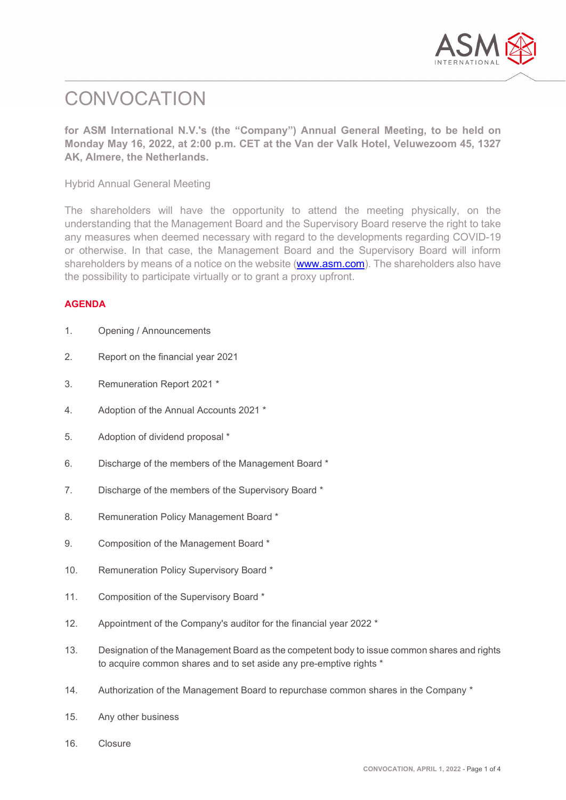

# **CONVOCATION**

**for ASM International N.V.'s (the "Company") Annual General Meeting, to be held on Monday May 16, 2022, at 2:00 p.m. CET at the Van der Valk Hotel, Veluwezoom 45, 1327 AK, Almere, the Netherlands.**

Hybrid Annual General Meeting

The shareholders will have the opportunity to attend the meeting physically, on the understanding that the Management Board and the Supervisory Board reserve the right to take any measures when deemed necessary with regard to the developments regarding COVID-19 or otherwise. In that case, the Management Board and the Supervisory Board will inform shareholders by means of a notice on the website [\(www.asm.com\)](http://www.asm.com/). The shareholders also have the possibility to participate virtually or to grant a proxy upfront.

# **AGENDA**

| 1. | Opening / Announcements |
|----|-------------------------|
|----|-------------------------|

- 2. Report on the financial year 2021
- 3. Remuneration Report 2021 \*
- 4. Adoption of the Annual Accounts 2021 \*
- 5. Adoption of dividend proposal \*
- 6. Discharge of the members of the Management Board \*
- 7. Discharge of the members of the Supervisory Board \*
- 8. Remuneration Policy Management Board \*
- 9. Composition of the Management Board \*
- 10. Remuneration Policy Supervisory Board \*
- 11. Composition of the Supervisory Board \*
- 12. Appointment of the Company's auditor for the financial year 2022 \*
- 13. Designation of the Management Board as the competent body to issue common shares and rights to acquire common shares and to set aside any pre-emptive rights \*
- 14. Authorization of the Management Board to repurchase common shares in the Company \*
- 15. Any other business
- 16. Closure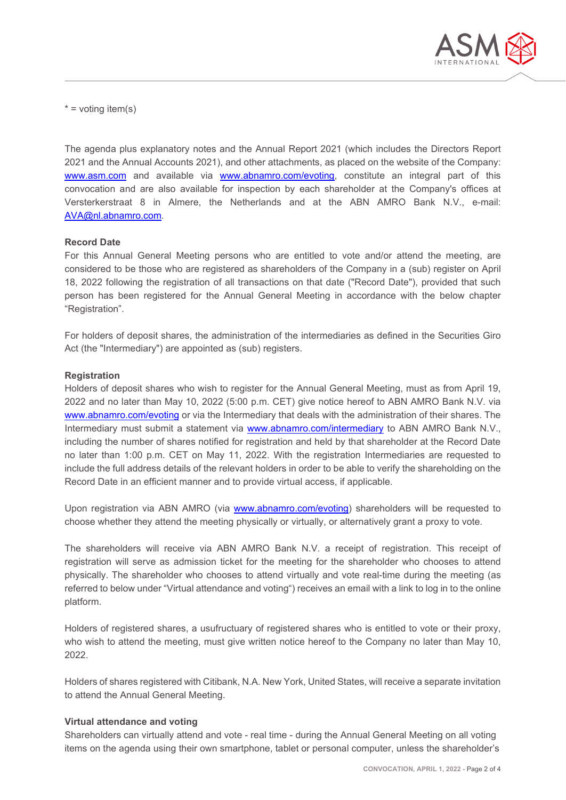

 $*$  = voting item(s)

The agenda plus explanatory notes and the Annual Report 2021 (which includes the Directors Report 2021 and the Annual Accounts 2021), and other attachments, as placed on the website of the Company: [www.asm.com](http://www.asm.com/) and available via [www.abnamro.com/evoting,](http://www.abnamro.com/evoting) constitute an integral part of this convocation and are also available for inspection by each shareholder at the Company's offices at Versterkerstraat 8 in Almere, the Netherlands and at the ABN AMRO Bank N.V., e-mail: [AVA@nl.abnamro.com.](mailto:corporate.broking@nl.abnamro.com)

## **Record Date**

For this Annual General Meeting persons who are entitled to vote and/or attend the meeting, are considered to be those who are registered as shareholders of the Company in a (sub) register on April 18, 2022 following the registration of all transactions on that date ("Record Date"), provided that such person has been registered for the Annual General Meeting in accordance with the below chapter "Registration".

For holders of deposit shares, the administration of the intermediaries as defined in the Securities Giro Act (the "Intermediary") are appointed as (sub) registers.

## **Registration**

Holders of deposit shares who wish to register for the Annual General Meeting, must as from April 19, 2022 and no later than May 10, 2022 (5:00 p.m. CET) give notice hereof to ABN AMRO Bank N.V. via [www.abnamro.com/evoting](http://www.abnamro.com/evoting) or via the Intermediary that deals with the administration of their shares. The Intermediary must submit a statement via [www.abnamro.com/intermediary](http://www.abnamro.com/intermediary) to ABN AMRO Bank N.V., including the number of shares notified for registration and held by that shareholder at the Record Date no later than 1:00 p.m. CET on May 11, 2022. With the registration Intermediaries are requested to include the full address details of the relevant holders in order to be able to verify the shareholding on the Record Date in an efficient manner and to provide virtual access, if applicable.

Upon registration via ABN AMRO (via [www.abnamro.com/evoting\)](http://www.abnamro.com/evoting) shareholders will be requested to choose whether they attend the meeting physically or virtually, or alternatively grant a proxy to vote.

The shareholders will receive via ABN AMRO Bank N.V. a receipt of registration. This receipt of registration will serve as admission ticket for the meeting for the shareholder who chooses to attend physically. The shareholder who chooses to attend virtually and vote real-time during the meeting (as referred to below under "Virtual attendance and voting") receives an email with a link to log in to the online platform.

Holders of registered shares, a usufructuary of registered shares who is entitled to vote or their proxy, who wish to attend the meeting, must give written notice hereof to the Company no later than May 10, 2022.

Holders of shares registered with Citibank, N.A. New York, United States, will receive a separate invitation to attend the Annual General Meeting.

#### **Virtual attendance and voting**

Shareholders can virtually attend and vote - real time - during the Annual General Meeting on all voting items on the agenda using their own smartphone, tablet or personal computer, unless the shareholder's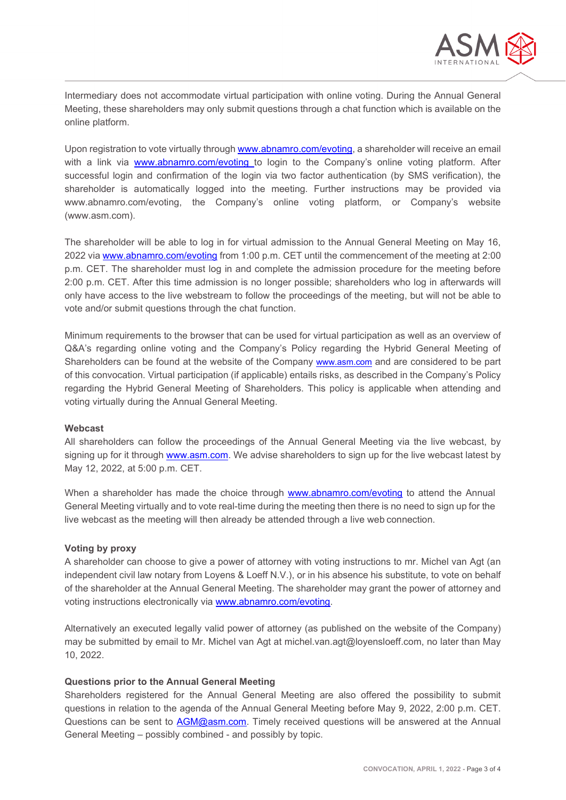

Intermediary does not accommodate virtual participation with online voting. During the Annual General Meeting, these shareholders may only submit questions through a chat function which is available on the online platform.

Upon registration to vote virtually through [www.abnamro.com/evoting,](http://www.abnamro.com/evoting) a shareholder will receive an email with a link via [www.abnamro.com/evoting](http://www.abnamro.com/evoting) to login to the Company's online voting platform. After successful login and confirmation of the login via two factor authentication (by SMS verification), the shareholder is automatically logged into the meeting. Further instructions may be provided via www.abnamro.com/evoting, the Company's online voting platform, or Company's website (www.asm.com).

The shareholder will be able to log in for virtual admission to the Annual General Meeting on May 16, 2022 via [www.abnamro.com/evoting](http://www.abnamro.com/evoting) from 1:00 p.m. CET until the commencement of the meeting at 2:00 p.m. CET. The shareholder must log in and complete the admission procedure for the meeting before 2:00 p.m. CET. After this time admission is no longer possible; shareholders who log in afterwards will only have access to the live webstream to follow the proceedings of the meeting, but will not be able to vote and/or submit questions through the chat function.

Minimum requirements to the browser that can be used for virtual participation as well as an overview of Q&A's regarding online voting and the Company's Policy regarding the Hybrid General Meeting of Shareholders can be found at the website of the Company [www.asm.com](http://www.asm.com/) and are considered to be part of this convocation. Virtual participation (if applicable) entails risks, as described in the Company's Policy regarding the Hybrid General Meeting of Shareholders. This policy is applicable when attending and voting virtually during the Annual General Meeting.

#### **Webcast**

All shareholders can follow the proceedings of the Annual General Meeting via the live webcast, by signing up for it through [www.asm.com.](http://www.asm.com/) We advise shareholders to sign up for the live webcast latest by May 12, 2022, at 5:00 p.m. CET.

When a shareholder has made the choice through [www.abnamro.com/evoting](http://www.abnamro.com/evoting) to attend the Annual General Meeting virtually and to vote real-time during the meeting then there is no need to sign up for the live webcast as the meeting will then already be attended through a live web connection.

## **Voting by proxy**

A shareholder can choose to give a power of attorney with voting instructions to mr. Michel van Agt (an independent civil law notary from Loyens & Loeff N.V.), or in his absence his substitute, to vote on behalf of the shareholder at the Annual General Meeting. The shareholder may grant the power of attorney and voting instructions electronically via [www.abnamro.com/evoting.](http://www.abnamro.com/evoting)

Alternatively an executed legally valid power of attorney (as published on the website of the Company) may be submitted by email to Mr. Michel van Agt at michel.van.agt@loyensloeff.com, no later than May 10, 2022.

## **Questions prior to the Annual General Meeting**

Shareholders registered for the Annual General Meeting are also offered the possibility to submit questions in relation to the agenda of the Annual General Meeting before May 9, 2022, 2:00 p.m. CET. Questions can be sent to **AGM@asm.com**. Timely received questions will be answered at the Annual General Meeting – possibly combined - and possibly by topic.